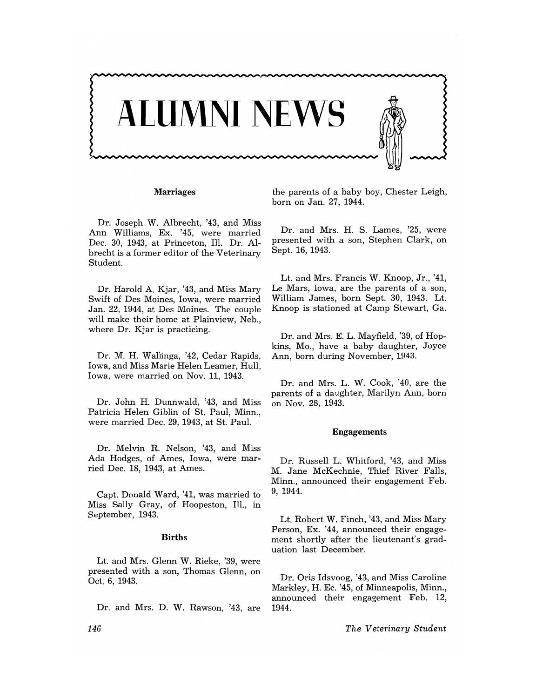

# **Marriages**

Dr. Joseph W. Albrecht, '43, and Miss Ann Williams, Ex. '45, were married Dec. 30, 1943, at Princeton, Ill. Dr. Albrecht is a former editor of the Veterinary Student.

Dr. Harold A. Kjar, '43, and Miss Mary Swift of Des Moines, Iowa, were married Jan. 22, 1944, at Des Moines. The couple will make their home at Plainview, Neb., where Dr. Kjar is practicing.

Dr. M. H. Wallinga, '42, Cedar Rapids, Iowa, and Miss Marie Helen Leamer, Hull, Iowa, were married on Nov. 11, 1943.

Dr. John H. Dunnwald, '43, and Miss Patricia Helen Giblin of St. Paul, Minn., were married Dec. 29, 1943, at St. Paul.

Dr. Melvin R. Nelson, '43, and Miss Ada Hodges, of Ames, Iowa, were married Dec. 18, 1943, at Ames.

Capt. Donald Ward, '41, was married to Miss Sally Gray, of Hoopeston, 111., in September, 1943.

## **Births**

Lt. and Mrs. Glenn W. Rieke, '39, were presented with a son, Thomas Glenn, on Oct. 6, 1943.

Dr. and Mrs. D. W. Rawson, '43, are

the parents of a baby boy, Chester Leigh, born on Jan. 27, 1944.

Dr. and Mrs. H. S. Lames, '25, were presented with a son, Stephen Clark, on Sept. 16, 1943.

Lt. and Mrs. Francis W. Knoop, Jr., '41, Le Mars, Iowa, are the parents of a son, William James, born Sept. 30, 1943. Lt. Knoop is stationed at Camp Stewart, Ga.

Dr. and Mrs. E. L. Mayfield, '39, of Hopkins, Mo., have a baby daughter, Joyce Ann, born during November, 1943.

Dr. and Mrs. L. W. Cook, '40, are the parents of a daughter, Marilyn Ann, born on Nov. 28, 1943.

## Engagements

Dr. Russell L. Whitford, '43, and Miss M. Jane McKechnie, Thief River Falls, Minn., announced their engagement Feb. 9, 1944.

Lt. Robert W. Finch, '43, and Miss Mary Person, Ex. '44, announced their engagement shortly after the lieutenant's graduation last December.

Dr. Oris Idsvoog, '43, and Miss Caroline Markley, H. Ec. '45, of Minneapolis, Minn., announced their engagement Feb. 12, 1944.

*The Veterinary Student*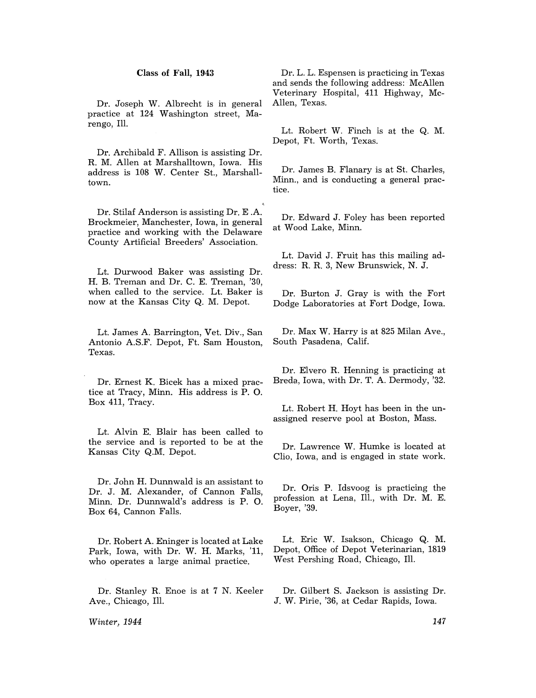# Class of Fall, 1943

Dr. Joseph W. Albrecht is in general practice at 124 Washington street, Marengo, Ill.

Dr. Archibald F. Allison is assisting Dr. R. M. Allen at Marshalltown, Iowa. His address is 108 W. Center St., Marshalltown.

Dr. Stilaf Anderson is assisting Dr. E .A. Brockmeier, Manchester, Iowa, in general practice and working with the Delaware County Artificial Breeders' Association.

Lt. Durwood Baker was assisting Dr. H. B. Treman and Dr. C. E. Treman, '30, when called to the service. Lt. Baker is now at the Kansas City Q. M. Depot.

Lt. James A. Barrington, Vet. Div., San Antonio A.S.F. Depot, Ft. Sam Houston, Texas.

Dr. Ernest K. Bicek has a mixed practice at Tracy, Minn. His address is P. O. Box 411, Tracy.

Lt. Alvin E. Blair has been called to the service and is reported to be at the Kansas City Q.M. Depot.

Dr. John H. Dunnwald is an assistant to Dr. J. M. Alexander, of Cannon Falls, Minn. Dr. Dunnwald's address is P. O. Box 64, Cannon Falls.

Dr. Robert A. Eninger is located at Lake Park, Iowa, with Dr. W. H. Marks, '11, who operates a large animal practice.

Dr. Stanley R. Enoe is at 7 N. Keeler Ave., Chicago, Ill.

*Winter, 1944* 

Dr. L. L. Espensen is practicing in Texas and sends the following address: McAllen Veterinary Hospital, 411 Highway, Mc-Allen, Texas.

Lt. Robert W. Finch is at the Q. M. Depot, Ft. Worth, Texas.

Dr. James B. Flanary is at St. Charles, Minn., and is conducting a general practice.

Dr. Edward J. Foley has been reported at Wood Lake, Minn.

Lt. David J. Fruit has this mailing address: R. R. 3, New Brunswick, N. J.

Dr. Burton J. Gray is with the Fort Dodge Laboratories at Fort Dodge, Iowa.

Dr. Max W. Harry is at 825 Milan Ave., South Pasadena, Calif.

Dr. Elvero R. Henning is practicing at Breda, Iowa, with Dr. T. A. Dermody, '32.

Lt. Robert H. Hoyt has been in the unassigned reserve pool at Boston, Mass.

Dr. Lawrence W. Humke is located at Clio, Iowa, and is engaged in state work.

Dr. Oris P. Idsvoog is practicing the profession at Lena, Ill., with Dr. M. E. Boyer, '39.

Lt. Eric W. Isakson, Chicago Q. M. Depot, Office of Depot Veterinarian, 1819 West Pershing Road, Chicago, Ill.

Dr. Gilbert S. Jackson is assisting Dr. J. W. Pirie, '36, at Cedar Rapids, Iowa.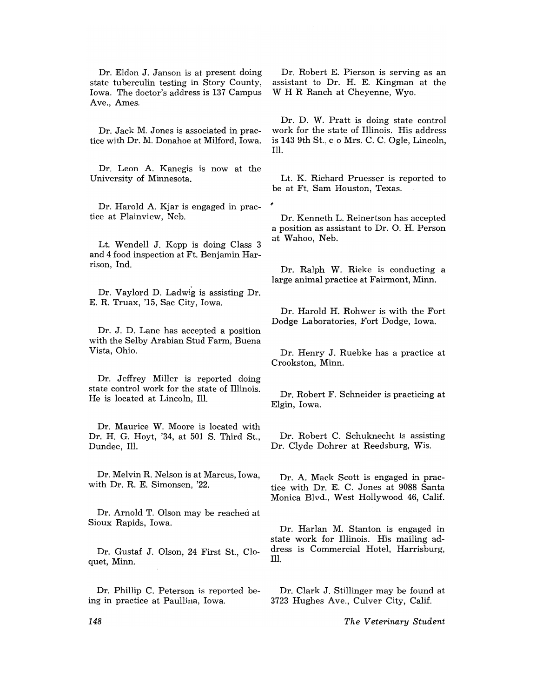Dr. Eldon J. Janson is at present doing state tuberculin testing in Story County, Iowa. The doctor's address is 137 Campus Ave., Ames.

Dr. Jack M. Jones is associated in practice with Dr. M. Donahoe at Milford, Iowa.

Dr. Leon A. Kanegis is now at the University of Minnesota.

Dr. Harold A. Kjar is engaged in prac-<br>tice at Plainview, Neb.

Lt. Wendell J. Kopp is doing Class 3 and 4 food inspection at Ft. Benjamin Harrison, Ind.

Dr. Vaylord D. Ladwig is assisting Dr. E. R. Truax, '15, Sac City, Iowa.

Dr. J. D. Lane has accepted a position with the Selby Arabian Stud Farm, Buena Vista, Ohio.

Dr. Jeffrey Miller is reported doing state control work for the state of Illinois. He is located at Lincoln, Ill.

Dr. Maurice W. Moore is located with Dr. H. G. Hoyt, '34, at 501 S. Third St., Dundee, Ill.

Dr. Melvin R. Nelson is at Marcus, Iowa, with Dr. R. E. Simonsen, '22.

Dr. Arnold T. Olson may be reached at Sioux Rapids, Iowa.

Dr. Gustaf J. Olson, 24 First St., Cloquet, Minn.

Dr. Phillip C. Peterson is reported being in practice at Paullina, Iowa.

Dr. Robert E. Pierson is serving as an assistant to Dr. H. E. Kingman at the W H R Ranch at Cheyenne, Wyo.

Dr. D. W. Pratt is doing state control work for the state of Illinois. His address is 143 9th St.,  $c|o$  Mrs. C. C. Ogle, Lincoln, Ill.

Lt. K. Richard Pruesser is reported to be at Ft. Sam Houston, Texas.

Dr. Kenneth L. Reinertson has accepted a position as assistant to Dr. O. H. Person at Wahoo, Neb.

Dr. Ralph W. Rieke is conducting a large animal practice at Fairmont, Minn.

Dr. Harold H. Rohwer is with the Fort Dodge Laboratories, Fort Dodge, Iowa.

Dr. Henry J. Ruebke has a practice at Crookston, Minn.

Dr. Robert F. Schneider is practicing at Elgin, Iowa.

Dr. Robert C. Schuknecht is assisting Dr. Clyde Dohrer at Reedsburg, Wis.

Dr. A. Mack Scott is engaged in practice with Dr. E. C. Jones at 9088 Santa Monica Blvd., West Hollywood 46, Calif.

Dr. Harlan M. Stanton is engaged in state work for Illinois. His mailing address is Commercial Hotel, Harrisburg, Ill.

Dr. Clark J. Stillinger may be found at 3723 Hughes Ave., Culver City, Calif.

*The Veterinary Student*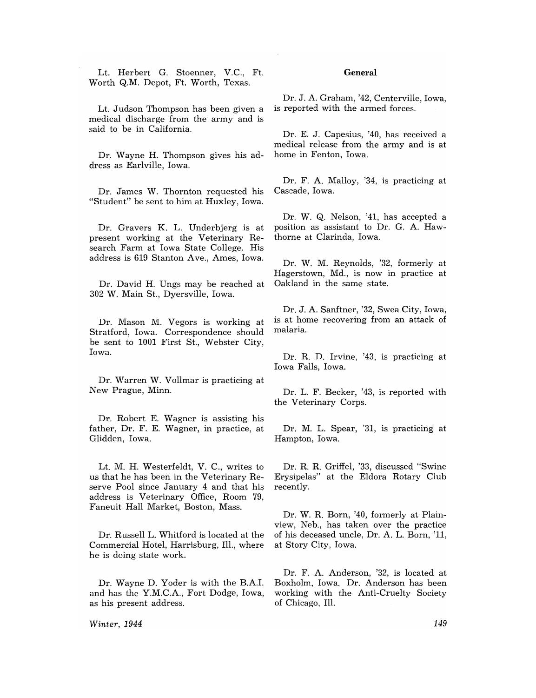Lt. Herbert G. Stoenner, V.C., Ft. Worth Q.M. Depot, Ft. Worth, Texas.

Lt. Judson Thompson has been given a medical discharge from the army and is said to be in California.

Dr. Wayne H. Thompson gives his address as Earlville, Iowa.

Dr. James W. Thornton requested his "Student" be sent to him at Huxley, Iowa.

Dr. Gravers K. L. Dnderbjerg is at present working at the Veterinary Research Farm at Iowa State College. His address is 619 Stanton Ave., Ames, Iowa.

Dr. David H. Dngs may be reached at 302 W. Main St., Dyersville, Iowa.

Dr. Mason M. Vegors is working at Stratford, Iowa. Correspondence should be sent to 1001 First St., Webster City, Iowa.

Dr. Warren W. Vollmar is practicing at New Prague, Minn.

Dr. Robert E. Wagner is assisting his father, Dr. F. E. Wagner, in practice, at Glidden, Iowa.

Lt. M. H. Westerfeldt, V. C., writes to us that he has been in the Veterinary Reserve Pool since January 4 and that his address is Veterinary Office, Room 79, Faneuit Hall Market, Boston, Mass.

Dr. Russell L. Whitford is located at the Commercial Hotel, Harrisburg, Ill., where he is doing state work.

Dr. Wayne D. Yoder is with the B.A.I. and has the Y.M.C.A., Fort Dodge, Iowa, as his present address.

*Winter, 1944* 

# **General**

Dr. J. A. Graham, '42, Centerville, Iowa, is reported with the armed forces.

Dr. E. J. Capesius, '40, has received a medical release from the army and is at home in Fenton, Iowa.

Dr. F. A. Malloy, '34, is practicing at Cascade, Iowa.

Dr. W. Q. Nelson, '41, has accepted a position as assistant to Dr. G. A. Hawthorne at Clarinda, Iowa.

Dr. W. M. Reynolds, '32, formerly at Hagerstown, Md., is now in practice at Oakland in the same state.

Dr. J. A. Sanftner, '32, Swea City, Iowa, is at home recovering from an attack of malaria.

Dr. R. D. Irvine, '43, is practicing at Iowa Falls, Iowa.

Dr. L. F. Becker, '43, is reported with the Veterinary Corps.

Dr. M. L. Spear, '31, is practicing at Hampton, Iowa.

Dr. R. R. Griffel, '33, discussed "Swine Erysipelas" at the Eldora Rotary Club recently.

Dr. W. R. Born, '40, formerly at Plainview, Neb., has taken over the practice of his deceased uncle, Dr. A. L. Born, '11, at Story City, Iowa.

Dr. F. A. Anderson, '32, is located at Boxholm, Iowa. Dr. Anderson has been working with the Anti-Cruelty Society of Chicago, Ill.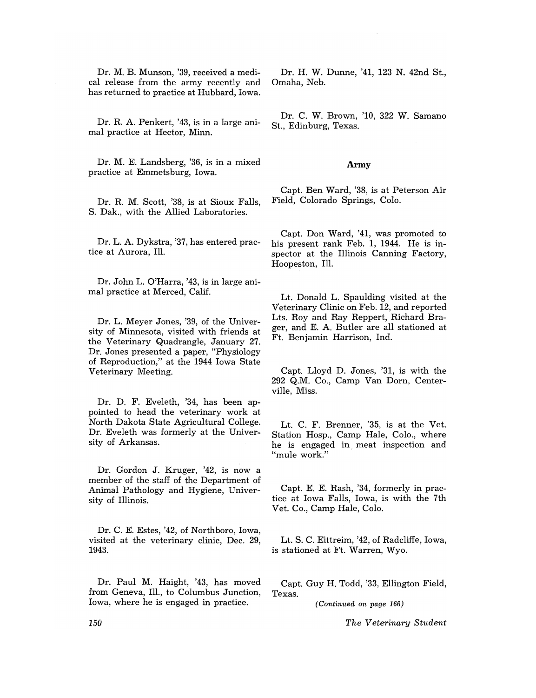Dr. M. B. Munson, '39, received a medical release from the army recently and has returned to practice at Hubbard, Iowa.

Dr. R. A. Penkert, '43, is in a large animal practice at Hector, Minn.

Dr. M. E. Landsberg, '36, is in a mixed practice at Emmetsburg, Iowa.

Dr. R. M. Scott, '38, is at Sioux Falls, S. Dak., with the Allied Laboratories.

Dr. L. A. Dykstra, '37, has entered practice at Aurora, Ill.

Dr. John L. O'Harra, '43, is in large animal practice at Merced, Calif.

Dr. L. Meyer Jones, '39, of the University of Minnesota, visited with friends at the Veterinary Quadrangle, January 27. Dr. Jones presented a paper, "Physiology of Reproduction," at the 1944 Iowa State Veterinary Meeting.

Dr. D. F. Eveleth, '34, has been appointed to head the veterinary work at North Dakota State Agricultural College. Dr. Eveleth was formerly at the University of Arkansas.

Dr. Gordon J. Kruger, '42, is now a member of the staff of the Department of Animal Pathology and Hygiene, University of Illinois.

Dr. C. E. Estes, '42, of Northboro, Iowa, visited at the veterinary clinic, Dec. 29, 1943.

Dr. Paul M. Haight, '43, has moved from Geneva, Ill., to Columbus Junction, Iowa, where he is engaged in practice.

Dr. H. W. Dunne, '41, 123 N. 42nd St., Omaha, Neb.

Dr. C. W. Brown, '10, 322 W. Samano St., Edinburg, Texas.

#### **Army**

Capt. Ben Ward, '38, is at Peterson Air Field, Colorado Springs, Colo.

Capt. Don Ward, '41, was promoted to his present rank Feb. 1, 1944. He is inspector at the Illinois Canning Factory, Hoopeston, Ill.

Lt. Donald L. Spaulding visited at the Veterinary Clinic on Feb. 12, and reported Lts. Roy and Ray Reppert, Richard Brager, and E. A. Butler are all stationed at Ft. Benjamin Harrison, Ind.

Capt. Lloyd D. Jones, '31, is with the 292 Q.M. Co., Camp Van Dorn, Centerville, Miss.

Lt. C. F. Brenner, '35, is at the Vet. Station Hosp., Camp Hale, Colo., where he is engaged in meat inspection and "mule work."

Capt. E. E. Rash, '34, formerly in practice at Iowa Falls, Iowa, is with the 7th Vet. Co., Camp Hale, Colo.

Lt. S. C. Eittreim, '42, of Radcliffe, Iowa, is stationed at Ft. Warren, Wyo.

Capt. Guy H. Todd, '33, Ellington Field, Texas.

*(Continued on page 166)* 

*The Veterinary Student*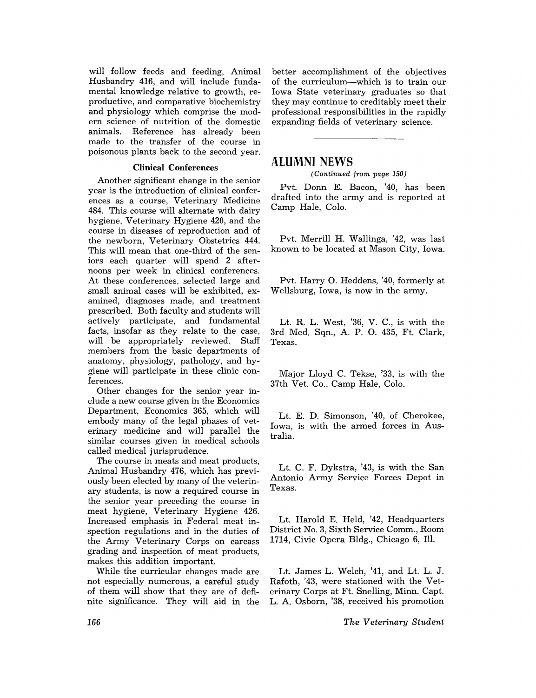will follow feeds and feeding, Animal Husbandry 416, and will include fundamental knowledge relative to growth, reproductive, and comparative biochemistry and physiology which comprise the modern science of nutrition of the domestic Reference has already been made to the transfer of the course in poisonous plants back to the second year.

# **Clinical** Conferences

Another significant change in the senior year is the introduction of clinical conferences as a course, Veterinary Medicine 484. This course will alternate with dairy hygiene, Veterinary Hygiene 420, and the course in diseases of reproduction and of the newborn, Veterinary Obstetrics 444. This will mean that one-third of the seniors each quarter will spend 2 afternoons per week in clinical conferences. At these conferences, selected large and small animal cases will be exhibited, examined, diagnoses made, and treatment prescribed. Both faculty and students will actively participate, and fundamental facts, insofar as they relate to the case, will be appropriately reviewed. Staff members from the basic departments of anatomy, physiology, pathology, and hygiene will participate in these clinic conferences.

Other changes for the senior year include a new course given in the Economics Department, Economics 365, which will embody many of the legal phases of veterinary medicine and will parallel the similar courses given in medical schools called medical jurisprudence.

The course in meats and meat products, Animal Husbandry 476, which has previously been elected by many of the veterinary students, is now a required course in the senior year preceding the course in meat hygiene, Veterinary Hygiene 426. Increased emphasis in Federal meat inspection regulations and in the duties of the Army Veterinary Corps on carcass grading and inspection of meat products, makes this addition important.

While the curricular changes made are not especially numerous, a careful study of them will show that they are of definite significance. They will aid in the better accomplishment of the objectives of the curriculum-which is to train our Iowa State veterinary graduates so that. they may continue to creditably meet their professional responsibilities in the rapidly expanding fields of veterinary science.

# **ALUMNI NEWS**

*(Continued from page 150)* 

Pvt. Donn E. Bacon, '40, has been drafted into the army and is reported at Camp Hale, Colo.

Pvt. Merrill H. Wallinga, '42, was last known to be located at Mason City, Iowa.

Pvt. Harry O. Heddens, '40, formerly at Wellsburg, Iowa, is now in the army.

Lt. R. L. West, '36, V. C., is with the 3rd Med. Sqn., A. P. O. 435, Ft. Clark, Texas.

Major Lloyd C. Tekse, '33, is with the 37th Vet. Co., Camp Hale, Colo.

Lt. E. D. Simonson, '40, of Cherokee, Iowa, is with the armed forces in Australia.

Lt. C. F. Dykstra, '43, is with the San Antonio Army Service Forces Depot in Texas.

Lt. Harold E. Held, '42, Headquarters District No.3, Sixth Service Comm., Room 1714, Civic Opera Bldg., Chicago 6, Ill.

Lt. James L. Welch, '41, and Lt. L. J. Rafoth, '43, were stationed with the Veterinary Corps at Ft. Snelling, Minn. Capt. L. A. Osborn, '38, received his promotion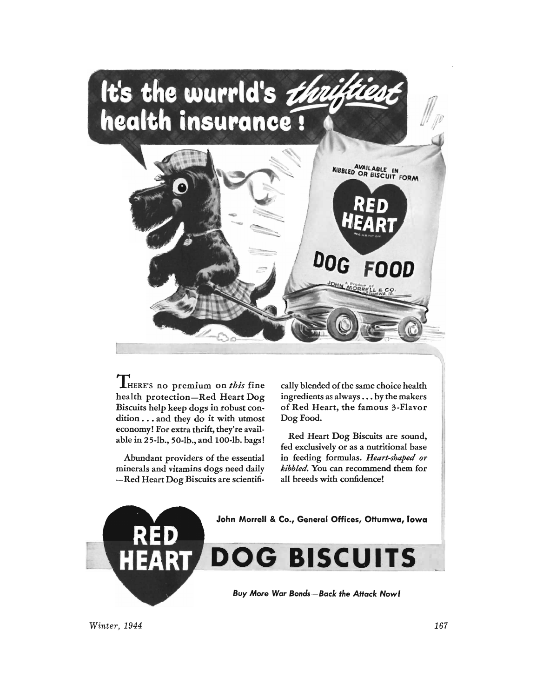

THERE's no premium on *this* fine health protection-Red Heart Dog Biscuits help keep dogs in robust condition . . . and they do it with utmost economy! For extra thrift, they're available in 25-lb., 50-lb., and lOO-lb. bags!

Abundant providers of the essential minerals and vitamins dogs need daily -Red Heart Dog Biscuits are scientifi-

cally blended of the same choice health ingredients as always . . . by the makers of Red Heart, the famous 3-Flavor Dog Food.

Red Heart Dog Biscuits are sound, fed exclusively or as a nutritional base in feeding formulas. *Heart-shaped or kibbled.* You can recommend them for all breeds with confidence!



*Winter, 1944* 167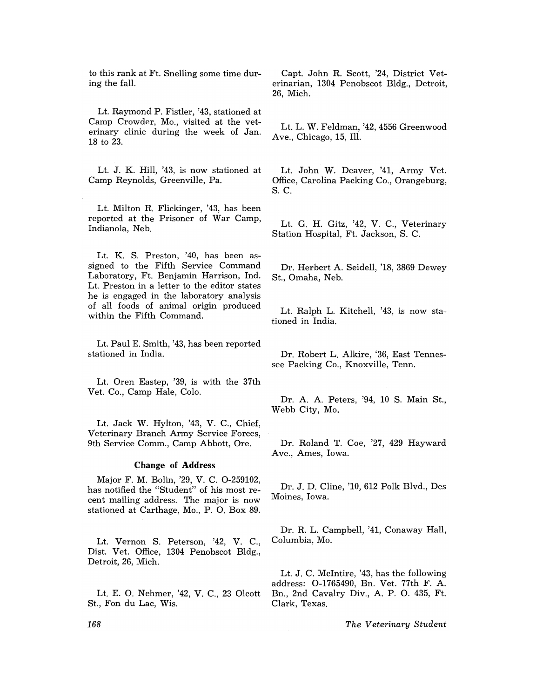to this rank at Ft. Snelling some time during the fall.

Lt. Raymond P. Fistler, '43, stationed at Camp Crowder, Mo., visited at the veterinary clinic during the week of Jan. 18 to 23.

Lt. J. K. Hill, '43, is now stationed at Camp Reynolds, Greenville, Pa.

Lt. Milton R. Flickinger, '43, has been reported at the Prisoner of War Camp, Indianola, Neb.

Lt. K. S. Preston, '40, has been assigned to the Fifth Service Command Laboratory, Ft. Benjamin Harrison, Ind. Lt. Preston in a letter to the editor states he is engaged in the laboratory analysis of all foods of animal origin produced within the Fifth Command.

Lt. Paul E. Smith, '43, has been reported stationed in India.

Lt. Oren Eastep, '39, is with the 37th Vet. Co., Camp Hale, Colo.

Lt. Jack W. Hylton, '43, V. C., Chief, Veterinary Branch Army Service Forces, 9th Service Comm., Camp Abbott, Ore.

## Change of Address

Major F. M. Bolin, '29, V. C. 0-259102, has notified the "Student" of his most recent mailing address. The major is now stationed at Carthage, Mo., P. O. Box 89.

Lt. Vernon S. Peterson, '42, V. C., Dist. Vet. Office, 1304 Penobscot Bldg., Detroit, 26, Mich.

Lt. E. O. Nehmer, '42, V. C., 23 Olcott St., Fon du Lac, Wis.

Capt. John R. Scott, '24, District Veterinarian, 1304 Penobscot Bldg., Detroit, 26, Mich.

Lt. L. W. Feldman, '42, 4556 Greenwood Ave., Chicago, 15, Ill.

Lt. John W. Deaver, '41, Army Vet. Office, Carolina Packing Co., Orangeburg, S. C.

Lt. G. H. Gitz, '42, V. C., Veterinary Station Hospital, Ft. Jackson, S. C.

Dr. Herbert A. Seidell, '18, 3869 Dewey St., Omaha, Neb.

Lt. Ralph L. Kitchell, '43, is now stationed in India.

Dr. Robert L. Alkire, '36, East Tennessee Packing Co., Knoxville, Tenn.

Dr. A. A. Peters, '94, 10 S. Main St., Webb City, Mo.

Dr. Roland T. Coe, '27, 429 Hayward Ave., Ames, Iowa.

Dr. J. D. Cline, '10, 612 Polk Blvd., Des Moines, Iowa.

Dr. R. L. Campbell, '41, Conaway Hall, Columbia, Mo.

Lt. J. C. McIntire, '43, has the following address: 0-1765490, Bn. Vet. 77th F. A. Bn., 2nd Cavalry Div., A. P. O. 435, Ft. Clark, Texas.

*The Veterinary Student*